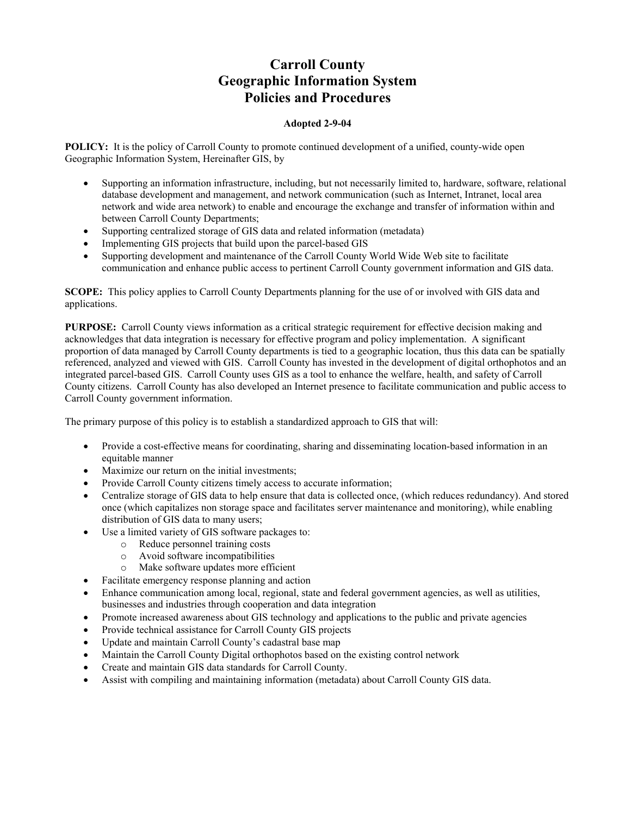# **Carroll County Geographic Information System Policies and Procedures**

## **Adopted 2-9-04**

**POLICY:** It is the policy of Carroll County to promote continued development of a unified, county-wide open Geographic Information System, Hereinafter GIS, by

- Supporting an information infrastructure, including, but not necessarily limited to, hardware, software, relational database development and management, and network communication (such as Internet, Intranet, local area network and wide area network) to enable and encourage the exchange and transfer of information within and between Carroll County Departments;
- Supporting centralized storage of GIS data and related information (metadata)
- Implementing GIS projects that build upon the parcel-based GIS
- Supporting development and maintenance of the Carroll County World Wide Web site to facilitate communication and enhance public access to pertinent Carroll County government information and GIS data.

**SCOPE:** This policy applies to Carroll County Departments planning for the use of or involved with GIS data and applications.

**PURPOSE:** Carroll County views information as a critical strategic requirement for effective decision making and acknowledges that data integration is necessary for effective program and policy implementation. A significant proportion of data managed by Carroll County departments is tied to a geographic location, thus this data can be spatially referenced, analyzed and viewed with GIS. Carroll County has invested in the development of digital orthophotos and an integrated parcel-based GIS. Carroll County uses GIS as a tool to enhance the welfare, health, and safety of Carroll County citizens. Carroll County has also developed an Internet presence to facilitate communication and public access to Carroll County government information.

The primary purpose of this policy is to establish a standardized approach to GIS that will:

- Provide a cost-effective means for coordinating, sharing and disseminating location-based information in an equitable manner
- Maximize our return on the initial investments;
- Provide Carroll County citizens timely access to accurate information;
- Centralize storage of GIS data to help ensure that data is collected once, (which reduces redundancy). And stored once (which capitalizes non storage space and facilitates server maintenance and monitoring), while enabling distribution of GIS data to many users;
- Use a limited variety of GIS software packages to:
	- o Reduce personnel training costs
	- o Avoid software incompatibilities
	- o Make software updates more efficient
- Facilitate emergency response planning and action
- Enhance communication among local, regional, state and federal government agencies, as well as utilities, businesses and industries through cooperation and data integration
- Promote increased awareness about GIS technology and applications to the public and private agencies
- Provide technical assistance for Carroll County GIS projects
- Update and maintain Carroll County's cadastral base map
- Maintain the Carroll County Digital orthophotos based on the existing control network
- Create and maintain GIS data standards for Carroll County.
- Assist with compiling and maintaining information (metadata) about Carroll County GIS data.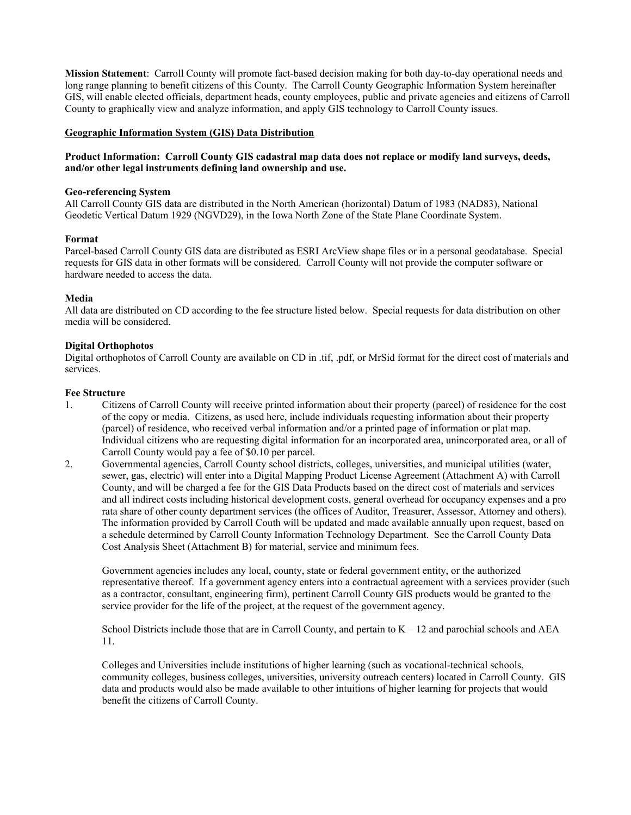**Mission Statement**: Carroll County will promote fact-based decision making for both day-to-day operational needs and long range planning to benefit citizens of this County. The Carroll County Geographic Information System hereinafter GIS, will enable elected officials, department heads, county employees, public and private agencies and citizens of Carroll County to graphically view and analyze information, and apply GIS technology to Carroll County issues.

## **Geographic Information System (GIS) Data Distribution**

## **Product Information: Carroll County GIS cadastral map data does not replace or modify land surveys, deeds, and/or other legal instruments defining land ownership and use.**

#### **Geo-referencing System**

All Carroll County GIS data are distributed in the North American (horizontal) Datum of 1983 (NAD83), National Geodetic Vertical Datum 1929 (NGVD29), in the Iowa North Zone of the State Plane Coordinate System.

#### **Format**

Parcel-based Carroll County GIS data are distributed as ESRI ArcView shape files or in a personal geodatabase. Special requests for GIS data in other formats will be considered. Carroll County will not provide the computer software or hardware needed to access the data.

#### **Media**

All data are distributed on CD according to the fee structure listed below. Special requests for data distribution on other media will be considered.

## **Digital Orthophotos**

Digital orthophotos of Carroll County are available on CD in .tif, .pdf, or MrSid format for the direct cost of materials and services.

#### **Fee Structure**

- 1. Citizens of Carroll County will receive printed information about their property (parcel) of residence for the cost of the copy or media. Citizens, as used here, include individuals requesting information about their property (parcel) of residence, who received verbal information and/or a printed page of information or plat map. Individual citizens who are requesting digital information for an incorporated area, unincorporated area, or all of Carroll County would pay a fee of \$0.10 per parcel.
- 2. Governmental agencies, Carroll County school districts, colleges, universities, and municipal utilities (water, sewer, gas, electric) will enter into a Digital Mapping Product License Agreement (Attachment A) with Carroll County, and will be charged a fee for the GIS Data Products based on the direct cost of materials and services and all indirect costs including historical development costs, general overhead for occupancy expenses and a pro rata share of other county department services (the offices of Auditor, Treasurer, Assessor, Attorney and others). The information provided by Carroll Couth will be updated and made available annually upon request, based on a schedule determined by Carroll County Information Technology Department. See the Carroll County Data Cost Analysis Sheet (Attachment B) for material, service and minimum fees.

Government agencies includes any local, county, state or federal government entity, or the authorized representative thereof. If a government agency enters into a contractual agreement with a services provider (such as a contractor, consultant, engineering firm), pertinent Carroll County GIS products would be granted to the service provider for the life of the project, at the request of the government agency.

School Districts include those that are in Carroll County, and pertain to K – 12 and parochial schools and AEA 11.

Colleges and Universities include institutions of higher learning (such as vocational-technical schools, community colleges, business colleges, universities, university outreach centers) located in Carroll County. GIS data and products would also be made available to other intuitions of higher learning for projects that would benefit the citizens of Carroll County.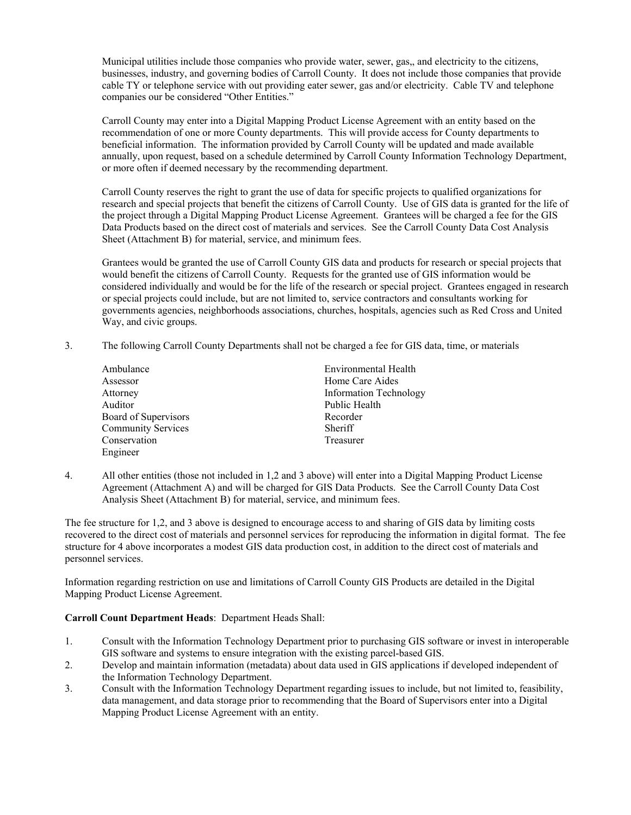Municipal utilities include those companies who provide water, sewer, gas,, and electricity to the citizens, businesses, industry, and governing bodies of Carroll County. It does not include those companies that provide cable TY or telephone service with out providing eater sewer, gas and/or electricity. Cable TV and telephone companies our be considered "Other Entities."

Carroll County may enter into a Digital Mapping Product License Agreement with an entity based on the recommendation of one or more County departments. This will provide access for County departments to beneficial information. The information provided by Carroll County will be updated and made available annually, upon request, based on a schedule determined by Carroll County Information Technology Department, or more often if deemed necessary by the recommending department.

Carroll County reserves the right to grant the use of data for specific projects to qualified organizations for research and special projects that benefit the citizens of Carroll County. Use of GIS data is granted for the life of the project through a Digital Mapping Product License Agreement. Grantees will be charged a fee for the GIS Data Products based on the direct cost of materials and services. See the Carroll County Data Cost Analysis Sheet (Attachment B) for material, service, and minimum fees.

Grantees would be granted the use of Carroll County GIS data and products for research or special projects that would benefit the citizens of Carroll County. Requests for the granted use of GIS information would be considered individually and would be for the life of the research or special project. Grantees engaged in research or special projects could include, but are not limited to, service contractors and consultants working for governments agencies, neighborhoods associations, churches, hospitals, agencies such as Red Cross and United Way, and civic groups.

3. The following Carroll County Departments shall not be charged a fee for GIS data, time, or materials

| Ambulance                 | Environmental Health          |
|---------------------------|-------------------------------|
| Assessor                  | Home Care Aides               |
| Attorney                  | <b>Information Technology</b> |
| Auditor                   | Public Health                 |
| Board of Supervisors      | Recorder                      |
| <b>Community Services</b> | Sheriff                       |
| Conservation              | Treasurer                     |
| Engineer                  |                               |

4. All other entities (those not included in 1,2 and 3 above) will enter into a Digital Mapping Product License Agreement (Attachment A) and will be charged for GIS Data Products. See the Carroll County Data Cost Analysis Sheet (Attachment B) for material, service, and minimum fees.

The fee structure for 1,2, and 3 above is designed to encourage access to and sharing of GIS data by limiting costs recovered to the direct cost of materials and personnel services for reproducing the information in digital format. The fee structure for 4 above incorporates a modest GIS data production cost, in addition to the direct cost of materials and personnel services.

Information regarding restriction on use and limitations of Carroll County GIS Products are detailed in the Digital Mapping Product License Agreement.

## **Carroll Count Department Heads**: Department Heads Shall:

- 1. Consult with the Information Technology Department prior to purchasing GIS software or invest in interoperable GIS software and systems to ensure integration with the existing parcel-based GIS.
- 2. Develop and maintain information (metadata) about data used in GIS applications if developed independent of the Information Technology Department.
- 3. Consult with the Information Technology Department regarding issues to include, but not limited to, feasibility, data management, and data storage prior to recommending that the Board of Supervisors enter into a Digital Mapping Product License Agreement with an entity.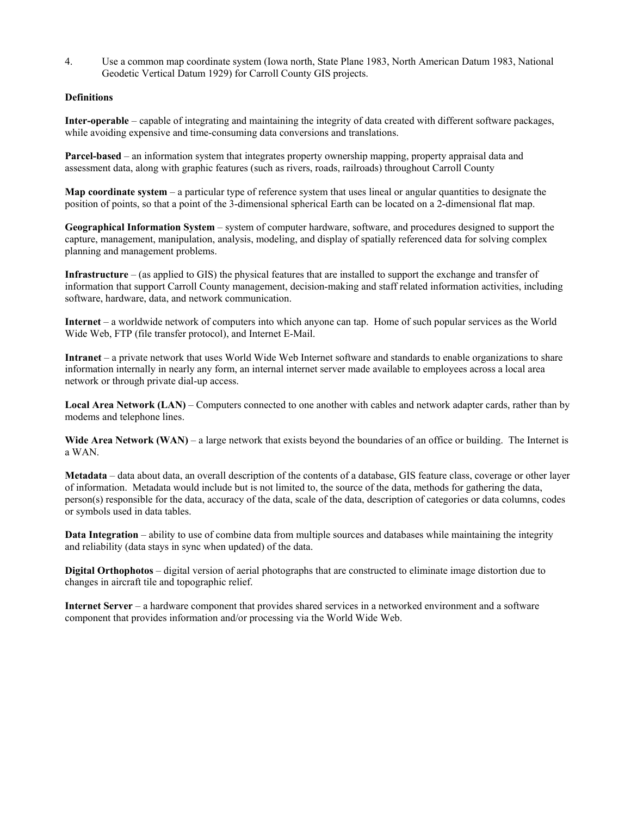4. Use a common map coordinate system (Iowa north, State Plane 1983, North American Datum 1983, National Geodetic Vertical Datum 1929) for Carroll County GIS projects.

## **Definitions**

**Inter-operable** – capable of integrating and maintaining the integrity of data created with different software packages, while avoiding expensive and time-consuming data conversions and translations.

**Parcel-based** – an information system that integrates property ownership mapping, property appraisal data and assessment data, along with graphic features (such as rivers, roads, railroads) throughout Carroll County

**Map coordinate system** – a particular type of reference system that uses lineal or angular quantities to designate the position of points, so that a point of the 3-dimensional spherical Earth can be located on a 2-dimensional flat map.

**Geographical Information System** – system of computer hardware, software, and procedures designed to support the capture, management, manipulation, analysis, modeling, and display of spatially referenced data for solving complex planning and management problems.

**Infrastructure** – (as applied to GIS) the physical features that are installed to support the exchange and transfer of information that support Carroll County management, decision-making and staff related information activities, including software, hardware, data, and network communication.

**Internet** – a worldwide network of computers into which anyone can tap. Home of such popular services as the World Wide Web, FTP (file transfer protocol), and Internet E-Mail.

**Intranet** – a private network that uses World Wide Web Internet software and standards to enable organizations to share information internally in nearly any form, an internal internet server made available to employees across a local area network or through private dial-up access.

**Local Area Network (LAN)** – Computers connected to one another with cables and network adapter cards, rather than by modems and telephone lines.

Wide Area Network (WAN) – a large network that exists beyond the boundaries of an office or building. The Internet is a WAN.

**Metadata** – data about data, an overall description of the contents of a database, GIS feature class, coverage or other layer of information. Metadata would include but is not limited to, the source of the data, methods for gathering the data, person(s) responsible for the data, accuracy of the data, scale of the data, description of categories or data columns, codes or symbols used in data tables.

**Data Integration** – ability to use of combine data from multiple sources and databases while maintaining the integrity and reliability (data stays in sync when updated) of the data.

**Digital Orthophotos** – digital version of aerial photographs that are constructed to eliminate image distortion due to changes in aircraft tile and topographic relief.

**Internet Server** – a hardware component that provides shared services in a networked environment and a software component that provides information and/or processing via the World Wide Web.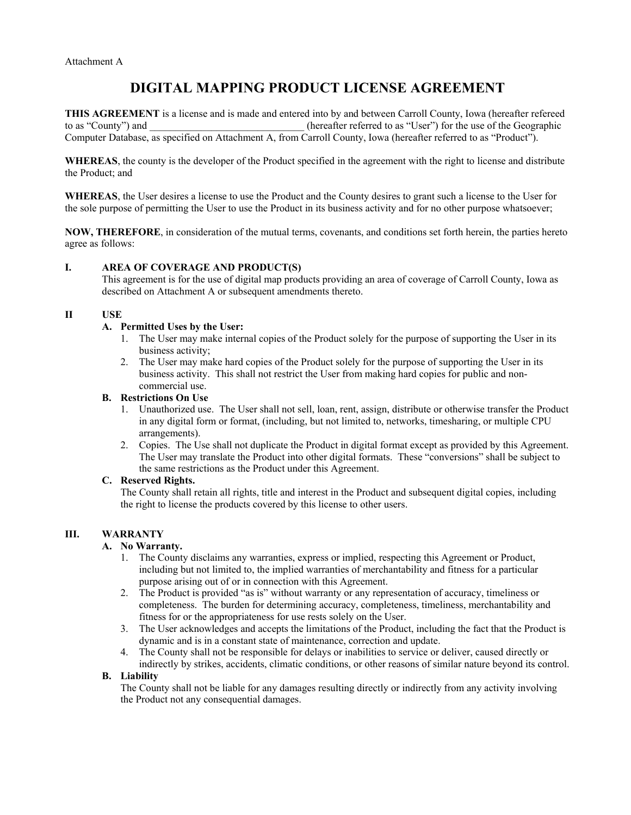# **DIGITAL MAPPING PRODUCT LICENSE AGREEMENT**

**THIS AGREEMENT** is a license and is made and entered into by and between Carroll County, Iowa (hereafter refereed to as "County") and  $(hereafter referred to as "User") for the use of the Geographic"$ Computer Database, as specified on Attachment A, from Carroll County, Iowa (hereafter referred to as "Product").

**WHEREAS**, the county is the developer of the Product specified in the agreement with the right to license and distribute the Product; and

**WHEREAS**, the User desires a license to use the Product and the County desires to grant such a license to the User for the sole purpose of permitting the User to use the Product in its business activity and for no other purpose whatsoever;

**NOW, THEREFORE**, in consideration of the mutual terms, covenants, and conditions set forth herein, the parties hereto agree as follows:

## **I. AREA OF COVERAGE AND PRODUCT(S)**

This agreement is for the use of digital map products providing an area of coverage of Carroll County, Iowa as described on Attachment A or subsequent amendments thereto.

#### **II USE**

#### **A. Permitted Uses by the User:**

- 1. The User may make internal copies of the Product solely for the purpose of supporting the User in its business activity;
- 2. The User may make hard copies of the Product solely for the purpose of supporting the User in its business activity. This shall not restrict the User from making hard copies for public and noncommercial use.

#### **B. Restrictions On Use**

- 1. Unauthorized use. The User shall not sell, loan, rent, assign, distribute or otherwise transfer the Product in any digital form or format, (including, but not limited to, networks, timesharing, or multiple CPU arrangements).
- 2. Copies. The Use shall not duplicate the Product in digital format except as provided by this Agreement. The User may translate the Product into other digital formats. These "conversions" shall be subject to the same restrictions as the Product under this Agreement.

#### **C. Reserved Rights.**

The County shall retain all rights, title and interest in the Product and subsequent digital copies, including the right to license the products covered by this license to other users.

## **III. WARRANTY**

## **A. No Warranty.**

- 1. The County disclaims any warranties, express or implied, respecting this Agreement or Product, including but not limited to, the implied warranties of merchantability and fitness for a particular purpose arising out of or in connection with this Agreement.
- 2. The Product is provided "as is" without warranty or any representation of accuracy, timeliness or completeness. The burden for determining accuracy, completeness, timeliness, merchantability and fitness for or the appropriateness for use rests solely on the User.
- 3. The User acknowledges and accepts the limitations of the Product, including the fact that the Product is dynamic and is in a constant state of maintenance, correction and update.
- 4. The County shall not be responsible for delays or inabilities to service or deliver, caused directly or indirectly by strikes, accidents, climatic conditions, or other reasons of similar nature beyond its control.

#### **B. Liability**

The County shall not be liable for any damages resulting directly or indirectly from any activity involving the Product not any consequential damages.